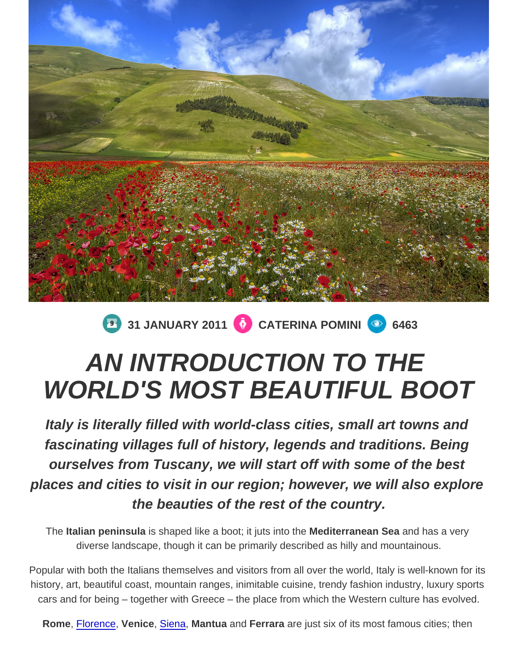## 31 JANUARY 2011 CATERINA POMINI 6463

## AN INTRODUCTION TO THE WORLD'S MOST BEAUTIFUL BOOT

Italy is literally filled with world-class cities, small art towns and fascinating villages full of history, legends and traditions. Being ourselves from Tuscany, we will start off with some of the best places and cities to visit in our region; however, we will also explore the beauties of the rest of the country.

The Italian peninsula is shaped like a boot; it juts into the Mediterranean Sea and has a very diverse landscape, though it can be primarily described as hilly and mountainous.

Popular with both the Italians themselves and visitors from all over the world, Italy is well-known for its history, art, beautiful coast, mountain ranges, inimitable cuisine, trendy fashion industry, luxury sports cars and for being – together with Greece – the place from which the Western culture has evolved.

Rome, [Florence,](http://www.spellbindingitaly.com/en/article/11-how-to-see-florence-in-48-hours) Venice , [Siena,](http://www.spellbindingitaly.com/en/article/14-siena-florences-beautiful-historic-enemy) Mantua and Ferrara are just six of its most famous cities; then